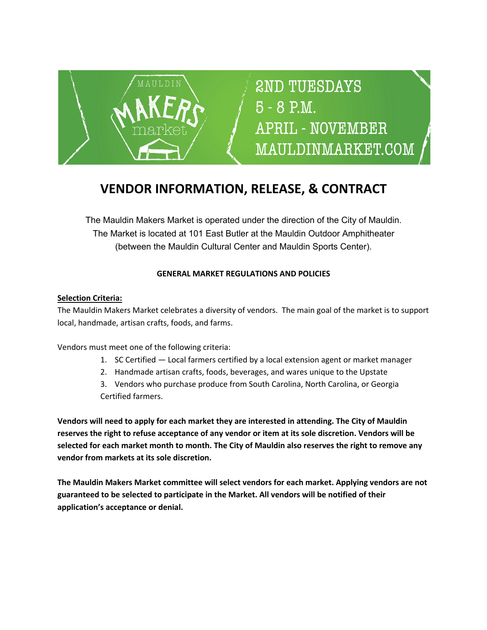

# 2ND TUESDAYS 5 - 8 P.M. **APRIL - NOVEMBER** MAULDINMARKET.COM

# **VENDOR INFORMATION, RELEASE, & CONTRACT**

The Mauldin Makers Market is operated under the direction of the City of Mauldin. The Market is located at 101 East Butler at the Mauldin Outdoor Amphitheater (between the Mauldin Cultural Center and Mauldin Sports Center).

# **GENERAL MARKET REGULATIONS AND POLICIES**

### **Selection Criteria:**

The Mauldin Makers Market celebrates a diversity of vendors. The main goal of the market is to support local, handmade, artisan crafts, foods, and farms.

Vendors must meet one of the following criteria:

- 1. SC Certified Local farmers certified by a local extension agent or market manager
- 2. Handmade artisan crafts, foods, beverages, and wares unique to the Upstate
- 3. Vendors who purchase produce from South Carolina, North Carolina, or Georgia Certified farmers.

**Vendors will need to apply for each market they are interested in attending. The City of Mauldin reserves the right to refuse acceptance of any vendor or item at its sole discretion. Vendors will be selected for each market month to month. The City of Mauldin also reserves the right to remove any vendor from markets at its sole discretion.**

**The Mauldin Makers Market committee will select vendors for each market. Applying vendors are not guaranteed to be selected to participate in the Market. All vendors will be notified of their application's acceptance or denial.**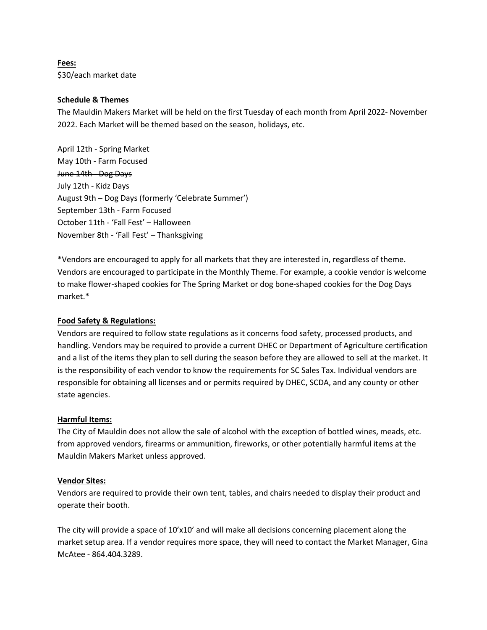**Fees:** \$30/each market date

#### **Schedule & Themes**

The Mauldin Makers Market will be held on the first Tuesday of each month from April 2022- November 2022. Each Market will be themed based on the season, holidays, etc.

April 12th - Spring Market May 10th - Farm Focused June 14th - Dog Days July 12th - Kidz Days August 9th – Dog Days (formerly 'Celebrate Summer') September 13th - Farm Focused October 11th - 'Fall Fest' – Halloween November 8th - 'Fall Fest' – Thanksgiving

\*Vendors are encouraged to apply for all markets that they are interested in, regardless of theme. Vendors are encouraged to participate in the Monthly Theme. For example, a cookie vendor is welcome to make flower-shaped cookies for The Spring Market or dog bone-shaped cookies for the Dog Days market.\*

#### **Food Safety & Regulations:**

Vendors are required to follow state regulations as it concerns food safety, processed products, and handling. Vendors may be required to provide a current DHEC or Department of Agriculture certification and a list of the items they plan to sell during the season before they are allowed to sell at the market. It is the responsibility of each vendor to know the requirements for SC Sales Tax. Individual vendors are responsible for obtaining all licenses and or permits required by DHEC, SCDA, and any county or other state agencies.

#### **Harmful Items:**

The City of Mauldin does not allow the sale of alcohol with the exception of bottled wines, meads, etc. from approved vendors, firearms or ammunition, fireworks, or other potentially harmful items at the Mauldin Makers Market unless approved.

#### **Vendor Sites:**

Vendors are required to provide their own tent, tables, and chairs needed to display their product and operate their booth.

The city will provide a space of 10'x10' and will make all decisions concerning placement along the market setup area. If a vendor requires more space, they will need to contact the Market Manager, Gina McAtee - 864.404.3289.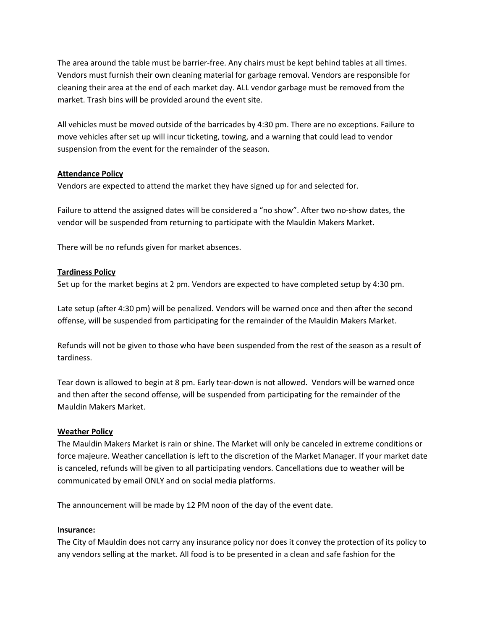The area around the table must be barrier-free. Any chairs must be kept behind tables at all times. Vendors must furnish their own cleaning material for garbage removal. Vendors are responsible for cleaning their area at the end of each market day. ALL vendor garbage must be removed from the market. Trash bins will be provided around the event site.

All vehicles must be moved outside of the barricades by 4:30 pm. There are no exceptions. Failure to move vehicles after set up will incur ticketing, towing, and a warning that could lead to vendor suspension from the event for the remainder of the season.

#### **Attendance Policy**

Vendors are expected to attend the market they have signed up for and selected for.

Failure to attend the assigned dates will be considered a "no show". After two no-show dates, the vendor will be suspended from returning to participate with the Mauldin Makers Market.

There will be no refunds given for market absences.

#### **Tardiness Policy**

Set up for the market begins at 2 pm. Vendors are expected to have completed setup by 4:30 pm.

Late setup (after 4:30 pm) will be penalized. Vendors will be warned once and then after the second offense, will be suspended from participating for the remainder of the Mauldin Makers Market.

Refunds will not be given to those who have been suspended from the rest of the season as a result of tardiness.

Tear down is allowed to begin at 8 pm. Early tear-down is not allowed. Vendors will be warned once and then after the second offense, will be suspended from participating for the remainder of the Mauldin Makers Market.

#### **Weather Policy**

The Mauldin Makers Market is rain or shine. The Market will only be canceled in extreme conditions or force majeure. Weather cancellation is left to the discretion of the Market Manager. If your market date is canceled, refunds will be given to all participating vendors. Cancellations due to weather will be communicated by email ONLY and on social media platforms.

The announcement will be made by 12 PM noon of the day of the event date.

#### **Insurance:**

The City of Mauldin does not carry any insurance policy nor does it convey the protection of its policy to any vendors selling at the market. All food is to be presented in a clean and safe fashion for the